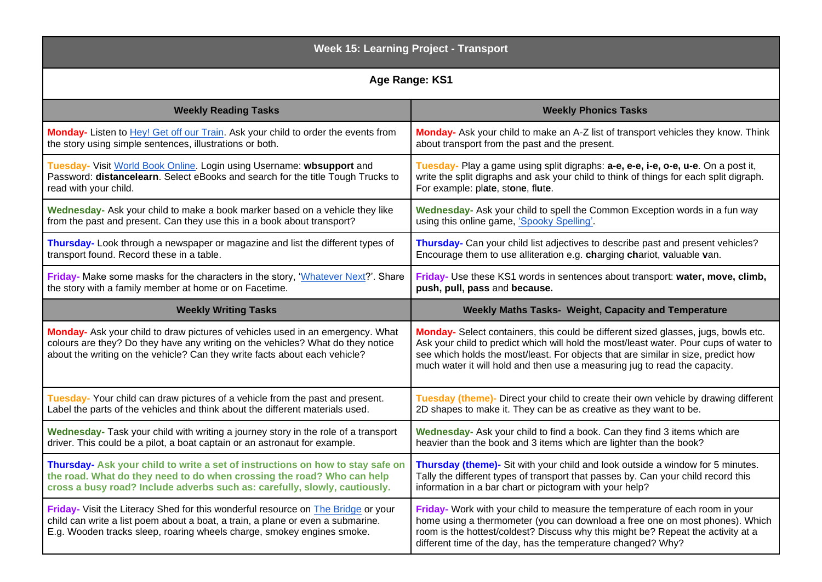| <b>Week 15: Learning Project - Transport</b>                                                                                                                                                                                                    |                                                                                                                                                                                                                                                                                                                                                |
|-------------------------------------------------------------------------------------------------------------------------------------------------------------------------------------------------------------------------------------------------|------------------------------------------------------------------------------------------------------------------------------------------------------------------------------------------------------------------------------------------------------------------------------------------------------------------------------------------------|
| Age Range: KS1                                                                                                                                                                                                                                  |                                                                                                                                                                                                                                                                                                                                                |
| <b>Weekly Reading Tasks</b>                                                                                                                                                                                                                     | <b>Weekly Phonics Tasks</b>                                                                                                                                                                                                                                                                                                                    |
| Monday- Listen to Hey! Get off our Train. Ask your child to order the events from                                                                                                                                                               | Monday- Ask your child to make an A-Z list of transport vehicles they know. Think                                                                                                                                                                                                                                                              |
| the story using simple sentences, illustrations or both.                                                                                                                                                                                        | about transport from the past and the present.                                                                                                                                                                                                                                                                                                 |
| Tuesday- Visit World Book Online. Login using Username: wbsupport and                                                                                                                                                                           | Tuesday- Play a game using split digraphs: a-e, e-e, i-e, o-e, u-e. On a post it,                                                                                                                                                                                                                                                              |
| Password: distancelearn. Select eBooks and search for the title Tough Trucks to                                                                                                                                                                 | write the split digraphs and ask your child to think of things for each split digraph.                                                                                                                                                                                                                                                         |
| read with your child.                                                                                                                                                                                                                           | For example: plate, stone, flute.                                                                                                                                                                                                                                                                                                              |
| Wednesday- Ask your child to make a book marker based on a vehicle they like                                                                                                                                                                    | Wednesday- Ask your child to spell the Common Exception words in a fun way                                                                                                                                                                                                                                                                     |
| from the past and present. Can they use this in a book about transport?                                                                                                                                                                         | using this online game, 'Spooky Spelling'.                                                                                                                                                                                                                                                                                                     |
| Thursday- Look through a newspaper or magazine and list the different types of                                                                                                                                                                  | Thursday- Can your child list adjectives to describe past and present vehicles?                                                                                                                                                                                                                                                                |
| transport found. Record these in a table.                                                                                                                                                                                                       | Encourage them to use alliteration e.g. charging chariot, valuable van.                                                                                                                                                                                                                                                                        |
| Friday- Make some masks for the characters in the story, 'Whatever Next?'. Share                                                                                                                                                                | Friday- Use these KS1 words in sentences about transport: water, move, climb,                                                                                                                                                                                                                                                                  |
| the story with a family member at home or on Facetime.                                                                                                                                                                                          | push, pull, pass and because.                                                                                                                                                                                                                                                                                                                  |
| <b>Weekly Writing Tasks</b>                                                                                                                                                                                                                     | Weekly Maths Tasks- Weight, Capacity and Temperature                                                                                                                                                                                                                                                                                           |
| Monday- Ask your child to draw pictures of vehicles used in an emergency. What<br>colours are they? Do they have any writing on the vehicles? What do they notice<br>about the writing on the vehicle? Can they write facts about each vehicle? | Monday- Select containers, this could be different sized glasses, jugs, bowls etc.<br>Ask your child to predict which will hold the most/least water. Pour cups of water to<br>see which holds the most/least. For objects that are similar in size, predict how<br>much water it will hold and then use a measuring jug to read the capacity. |
| Tuesday-Your child can draw pictures of a vehicle from the past and present.                                                                                                                                                                    | Tuesday (theme)- Direct your child to create their own vehicle by drawing different                                                                                                                                                                                                                                                            |
| Label the parts of the vehicles and think about the different materials used.                                                                                                                                                                   | 2D shapes to make it. They can be as creative as they want to be.                                                                                                                                                                                                                                                                              |
| Wednesday- Task your child with writing a journey story in the role of a transport                                                                                                                                                              | Wednesday- Ask your child to find a book. Can they find 3 items which are                                                                                                                                                                                                                                                                      |
| driver. This could be a pilot, a boat captain or an astronaut for example.                                                                                                                                                                      | heavier than the book and 3 items which are lighter than the book?                                                                                                                                                                                                                                                                             |
| Thursday- Ask your child to write a set of instructions on how to stay safe on                                                                                                                                                                  | Thursday (theme)- Sit with your child and look outside a window for 5 minutes.                                                                                                                                                                                                                                                                 |
| the road. What do they need to do when crossing the road? Who can help                                                                                                                                                                          | Tally the different types of transport that passes by. Can your child record this                                                                                                                                                                                                                                                              |
| cross a busy road? Include adverbs such as: carefully, slowly, cautiously.                                                                                                                                                                      | information in a bar chart or pictogram with your help?                                                                                                                                                                                                                                                                                        |
| Friday- Visit the Literacy Shed for this wonderful resource on The Bridge or your<br>child can write a list poem about a boat, a train, a plane or even a submarine.<br>E.g. Wooden tracks sleep, roaring wheels charge, smokey engines smoke.  | Friday- Work with your child to measure the temperature of each room in your<br>home using a thermometer (you can download a free one on most phones). Which<br>room is the hottest/coldest? Discuss why this might be? Repeat the activity at a<br>different time of the day, has the temperature changed? Why?                               |